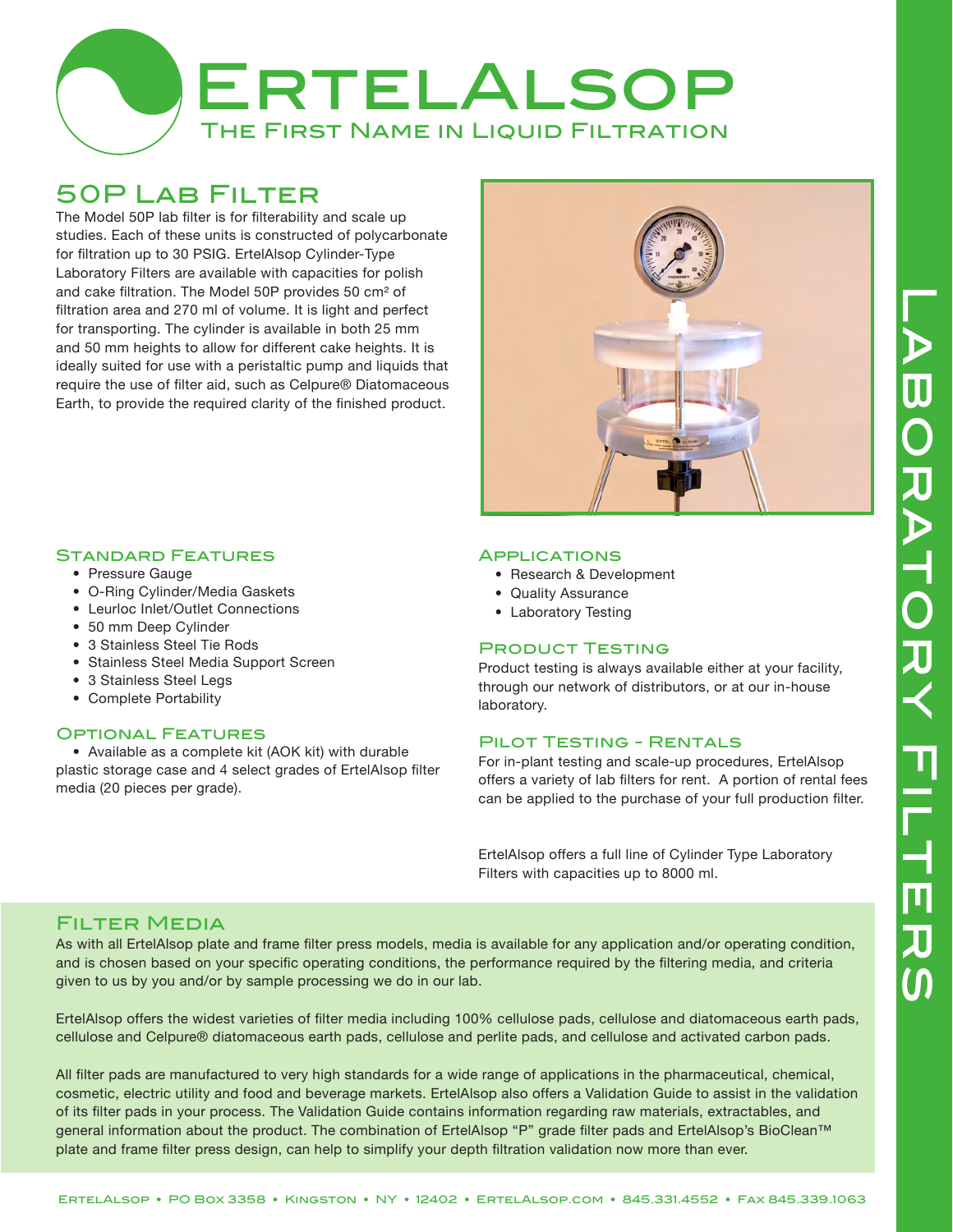

# 50P Lab Filter

The Model 50P lab filter is for filterability and scale up studies. Each of these units is constructed of polycarbonate for filtration up to 30 PSIG. ErtelAlsop Cylinder-Type Laboratory Filters are available with capacities for polish and cake filtration. The Model 50P provides 50 cm² of filtration area and 270 ml of volume. It is light and perfect for transporting. The cylinder is available in both 25 mm and 50 mm heights to allow for different cake heights. It is ideally suited for use with a peristaltic pump and liquids that require the use of filter aid, such as Celpure® Diatomaceous Earth, to provide the required clarity of the finished product.



## Standard Features

- Pressure Gauge
- O-Ring Cylinder/Media Gaskets
- Leurloc Inlet/Outlet Connections
- 50 mm Deep Cylinder
- 3 Stainless Steel Tie Rods
- Stainless Steel Media Support Screen
- 3 Stainless Steel Legs
- Complete Portability

#### Optional Features

 • Available as a complete kit (AOK kit) with durable plastic storage case and 4 select grades of ErtelAlsop filter media (20 pieces per grade).

#### **APPLICATIONS**

- Research & Development
- Quality Assurance
- Laboratory Testing

#### Product Testing

Product testing is always available either at your facility, through our network of distributors, or at our in-house laboratory.

## Pilot Testing - Rentals

For in-plant testing and scale-up procedures, ErtelAlsop offers a variety of lab filters for rent. A portion of rental fees can be applied to the purchase of your full production filter.

ErtelAlsop offers a full line of Cylinder Type Laboratory Filters with capacities up to 8000 ml.

# Filter Media

As with all ErtelAlsop plate and frame filter press models, media is available for any application and/or operating condition, and is chosen based on your specific operating conditions, the performance required by the filtering media, and criteria given to us by you and/or by sample processing we do in our lab.

ErtelAlsop offers the widest varieties of filter media including 100% cellulose pads, cellulose and diatomaceous earth pads, cellulose and Celpure® diatomaceous earth pads, cellulose and perlite pads, and cellulose and activated carbon pads.

All filter pads are manufactured to very high standards for a wide range of applications in the pharmaceutical, chemical, cosmetic, electric utility and food and beverage markets. ErtelAlsop also offers a Validation Guide to assist in the validation of its filter pads in your process. The Validation Guide contains information regarding raw materials, extractables, and general information about the product. The combination of ErtelAlsop "P" grade filter pads and ErtelAlsop's BioClean™ plate and frame filter press design, can help to simplify your depth filtration validation now more than ever.